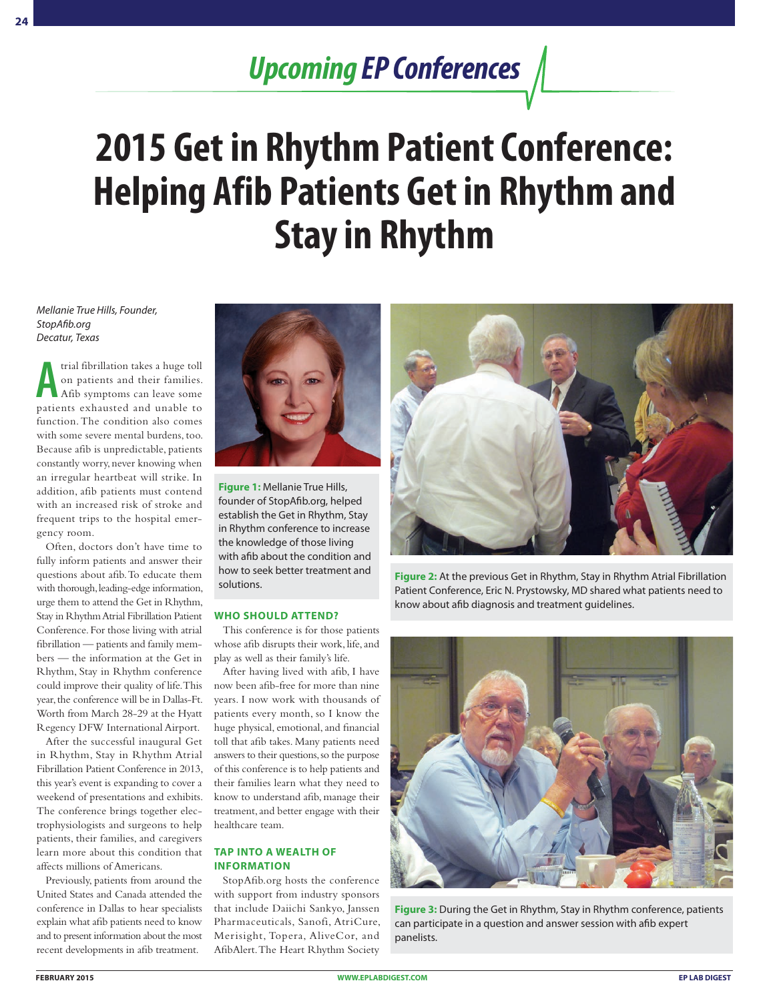## *Upcoming EP Conferences*

# **2015 Get in Rhythm Patient Conference: Helping Afib Patients Get in Rhythm and Stay in Rhythm**

### *Mellanie True Hills, Founder, StopAfib.org Decatur, Texas*

**A** trial fibrillation takes a huge toll<br>on patients and their families.<br>Afib symptoms can leave some<br>patients exhausted and unable to trial fibrillation takes a huge toll on patients and their families. Afib symptoms can leave some function. The condition also comes with some severe mental burdens, too. Because afib is unpredictable, patients constantly worry, never knowing when an irregular heartbeat will strike. In addition, afib patients must contend with an increased risk of stroke and frequent trips to the hospital emergency room.

Often, doctors don't have time to fully inform patients and answer their questions about afib. To educate them with thorough, leading-edge information, urge them to attend the Get in Rhythm, Stay in Rhythm Atrial Fibrillation Patient Conference. For those living with atrial fibrillation — patients and family members — the information at the Get in Rhythm, Stay in Rhythm conference could improve their quality of life. This year, the conference will be in Dallas-Ft. Worth from March 28-29 at the Hyatt Regency DFW International Airport.

After the successful inaugural Get in Rhythm, Stay in Rhythm Atrial Fibrillation Patient Conference in 2013, this year's event is expanding to cover a weekend of presentations and exhibits. The conference brings together electrophysiologists and surgeons to help patients, their families, and caregivers learn more about this condition that affects millions of Americans.

Previously, patients from around the United States and Canada attended the conference in Dallas to hear specialists explain what afib patients need to know and to present information about the most recent developments in afib treatment.



**Figure 1:** Mellanie True Hills, founder of StopAfib.org, helped establish the Get in Rhythm, Stay in Rhythm conference to increase the knowledge of those living with afib about the condition and how to seek better treatment and

#### **WHO SHOULD ATTEND?**

This conference is for those patients whose afib disrupts their work, life, and play as well as their family's life.

After having lived with afib, I have now been afib-free for more than nine years. I now work with thousands of patients every month, so I know the huge physical, emotional, and financial toll that afib takes. Many patients need answers to their questions, so the purpose of this conference is to help patients and their families learn what they need to know to understand afib, manage their treatment, and better engage with their healthcare team.

### **TAP INTO A WEALTH OF INFORMATION**

StopAfib.org hosts the conference with support from industry sponsors that include Daiichi Sankyo, Janssen Pharmaceuticals, Sanofi, AtriCure, Merisight, Topera, AliveCor, and AfibAlert. The Heart Rhythm Society



Figure 2: At the previous Get in Rhythm, Stay in Rhythm Atrial Fibrillation solutions. Patient Conference, Eric N. Prystowsky, MD shared what patients need to know about afib diagnosis and treatment guidelines.



**Figure 3:** During the Get in Rhythm, Stay in Rhythm conference, patients can participate in a question and answer session with afib expert panelists.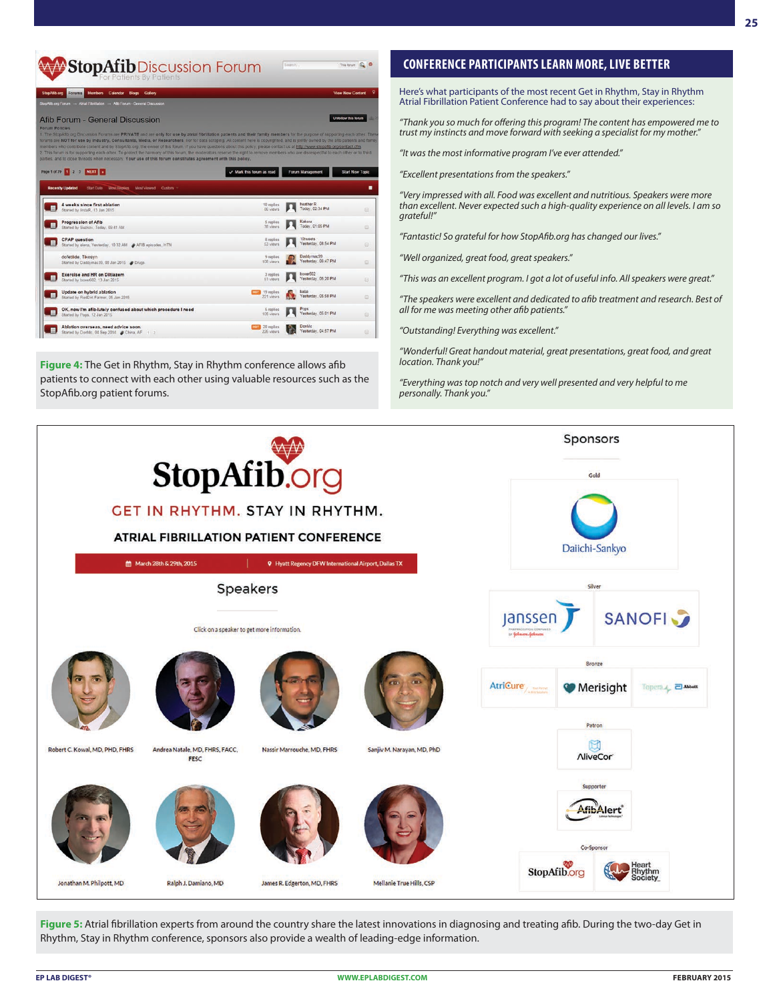

**Figure 4:** The Get in Rhythm, Stay in Rhythm conference allows afib patients to connect with each other using valuable resources such as the StopAfib.org patient forums.

### **CONFERENCE PARTICIPANTS LEARN MORE, LIVE BETTER**

Here's what participants of the most recent Get in Rhythm, Stay in Rhythm Atrial Fibrillation Patient Conference had to say about their experiences:

*"Thank you so much for offering this program! The content has empowered me to trust my instincts and move forward with seeking a specialist for my mother."*

*"It was the most informative program I've ever attended."*

*"Excellent presentations from the speakers."*

*"Very impressed with all. Food was excellent and nutritious. Speakers were more than excellent. Never expected such a high-quality experience on all levels. I am so grateful!"* 

*"Fantastic! So grateful for how StopAfib.org has changed our lives."*

*"Well organized, great food, great speakers."*

*"This was an excellent program. I got a lot of useful info. All speakers were great."*

*"The speakers were excellent and dedicated to afib treatment and research. Best of all for me was meeting other afib patients."* 

*"Outstanding! Everything was excellent."*

*"Wonderful! Great handout material, great presentations, great food, and great location. Thank you!"* 

*"Everything was top notch and very well presented and very helpful to me personally. Thank you."*



Figure 5: Atrial fibrillation experts from around the country share the latest innovations in diagnosing and treating afib. During the two-day Get in Rhythm, Stay in Rhythm conference, sponsors also provide a wealth of leading-edge information.